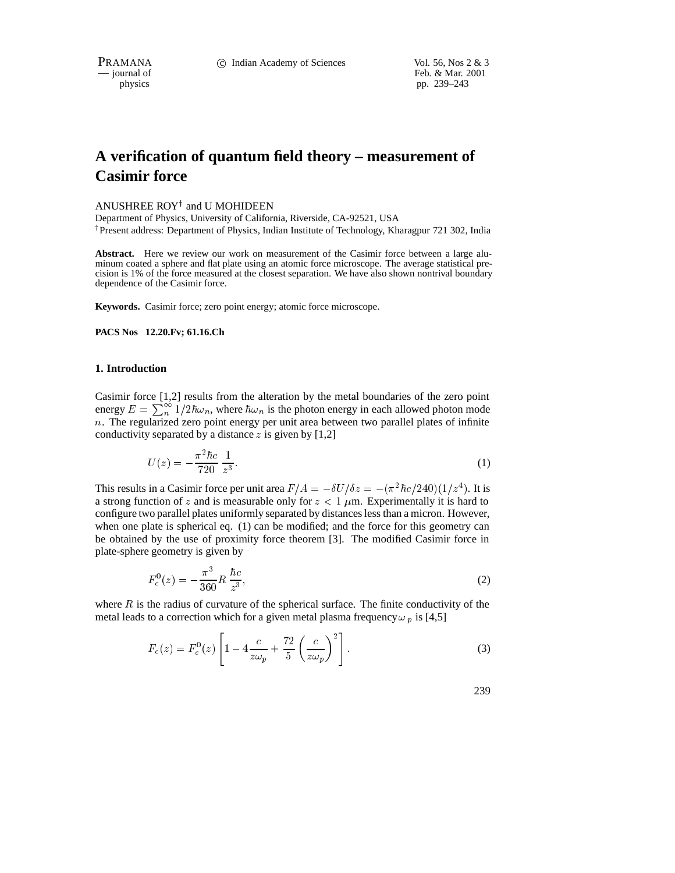PRAMANA 
<sup>c</sup> Indian Academy of Sciences Vol. 56, Nos 2 & 3<br>  $-$  journal of Feb. & Mar. 2001 purnal of Feb. & Mar. 2001<br>physics pp. 239–243 pp. 239–243

# **A verification of quantum field theory – measurement of Casimir force**

## ANUSHREE ROY<sup>†</sup> and U MOHIDEEN

Department of Physics, University of California, Riverside, CA-92521, USA <sup>†</sup> Present address: Department of Physics, Indian Institute of Technology, Kharagpur 721 302, India

**Abstract.** Here we review our work on measurement of the Casimir force between a large aluminum coated a sphere and flat plate using an atomic force microscope. The average statistical precision is 1% of the force measured at the closest separation. We have also shown nontrival boundary dependence of the Casimir force.

**Keywords.** Casimir force; zero point energy; atomic force microscope.

**PACS Nos 12.20.Fv; 61.16.Ch**

### **1. Introduction**

Casimir force [1,2] results from the alteration by the metal boundaries of the zero point energy  $E = \sum_{n=1}^{\infty} 1/2\hbar\omega_n$ , where  $\hbar\omega_n$  is the photon energy in each allowed photon mode  $n$ . The regularized zero point energy per unit area between two parallel plates of infinite conductivity separated by a distance  $z$  is given by [1,2]

$$
U(z) = -\frac{\pi^2 \hbar c}{720} \frac{1}{z^3}.
$$
 (1)

This results in a Casimir force per unit area  $F/A = -\delta U/\delta z = -(\pi^2 \hbar c/240)(1/z^4)$ . It is a strong function of z and is measurable only for  $z < 1$   $\mu$ m. Experimentally it is hard to configure two parallel plates uniformly separated by distances less than a micron. However, when one plate is spherical eq. (1) can be modified; and the force for this geometry can be obtained by the use of proximity force theorem [3]. The modified Casimir force in plate-sphere geometry is given by

$$
F_c^0(z) = -\frac{\pi^3}{360} R \frac{\hbar c}{z^3},\tag{2}
$$

where  $R$  is the radius of curvature of the spherical surface. The finite conductivity of the metal leads to a correction which for a given metal plasma frequency  $\omega_p$  is [4,5]

$$
F_c(z) = F_c^0(z) \left[ 1 - 4 \frac{c}{z \omega_p} + \frac{72}{5} \left( \frac{c}{z \omega_p} \right)^2 \right].
$$
 (3)

239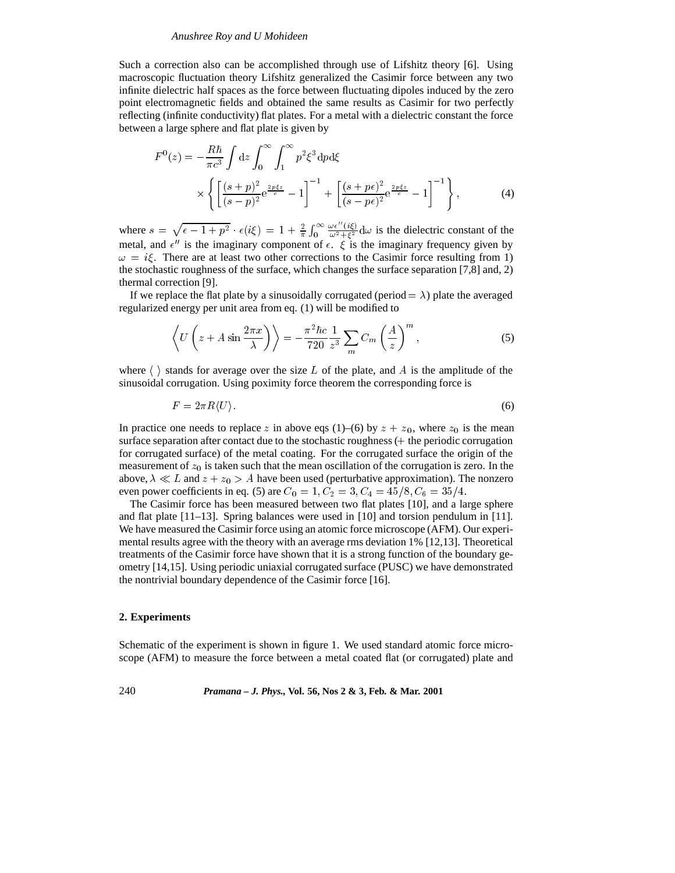#### *Anushree Roy and U Mohideen*

Such a correction also can be accomplished through use of Lifshitz theory [6]. Using macroscopic fluctuation theory Lifshitz generalized the Casimir force between any two infinite dielectric half spaces as the force between fluctuating dipoles induced by the zero point electromagnetic fields and obtained the same results as Casimir for two perfectly reflecting (infinite conductivity) flat plates. For a metal with a dielectric constant the force between a large sphere and flat plate is given by

$$
F^{0}(z) = -\frac{R\hbar}{\pi c^{3}} \int dz \int_{0}^{\infty} \int_{1}^{\infty} p^{2} \xi^{3} dp d\xi
$$
  
 
$$
\times \left\{ \left[ \frac{(s+p)^{2}}{(s-p)^{2}} e^{\frac{2p\xi z}{c}} - 1 \right]^{-1} + \left[ \frac{(s+p\epsilon)^{2}}{(s-p\epsilon)^{2}} e^{\frac{2p\xi z}{c}} - 1 \right]^{-1} \right\},
$$
 (4)

where  $s = \sqrt{\epsilon - 1 + p^2} \cdot \epsilon (i \xi) = 1 + \frac{2}{\pi} \int_0^\infty \frac{\omega \epsilon''(i \xi)}{\omega^2 + \xi^2} d\omega$  is the dielectric constant of the metal, and  $\epsilon''$  is the imaginary component of  $\epsilon$ .  $\xi$  is the imaginary frequency given by  $\omega = i \xi$ . There are at least two other corrections to the Casimir force resulting from 1) the stochastic roughness of the surface, which changes the surface separation [7,8] and, 2) thermal correction [9].

If we replace the flat plate by a sinusoidally corrugated (period  $= \lambda$ ) plate the averaged regularized energy per unit area from eq. (1) will be modified to

$$
\left\langle U\left(z + A\sin\frac{2\pi x}{\lambda}\right)\right\rangle = -\frac{\pi^2\hbar c}{720} \frac{1}{z^3} \sum_m C_m \left(\frac{A}{z}\right)^m, \tag{5}
$$

where  $\langle \rangle$  stands for average over the size L of the plate, and A is the amplitude of the sinusoidal corrugation. Using poximity force theorem the corresponding force is

$$
F = 2\pi R \langle U \rangle. \tag{6}
$$

In practice one needs to replace z in above eqs (1)–(6) by  $z + z_0$ , where  $z_0$  is the mean surface separation after contact due to the stochastic roughness (<sup>+</sup> the periodic corrugation for corrugated surface) of the metal coating. For the corrugated surface the origin of the measurement of  $z_0$  is taken such that the mean oscillation of the corrugation is zero. In the above,  $\lambda \ll L$  and  $z + z_0 > A$  have been used (perturbative approximation). The nonzero even power coefficients in eq. (5) are  $C_0 = 1, C_2 = 3, C_4 = 45/8, C_6 = 35/4.$ 

The Casimir force has been measured between two flat plates [10], and a large sphere and flat plate  $[11-13]$ . Spring balances were used in  $[10]$  and torsion pendulum in  $[11]$ . We have measured the Casimir force using an atomic force microscope (AFM). Our experimental results agree with the theory with an average rms deviation 1% [12,13]. Theoretical treatments of the Casimir force have shown that it is a strong function of the boundary geometry [14,15]. Using periodic uniaxial corrugated surface (PUSC) we have demonstrated the nontrivial boundary dependence of the Casimir force [16].

# **2. Experiments**

Schematic of the experiment is shown in figure 1. We used standard atomic force microscope (AFM) to measure the force between a metal coated flat (or corrugated) plate and

240 *Pramana – J. Phys.,* **Vol. 56, Nos 2 & 3, Feb. & Mar. 2001**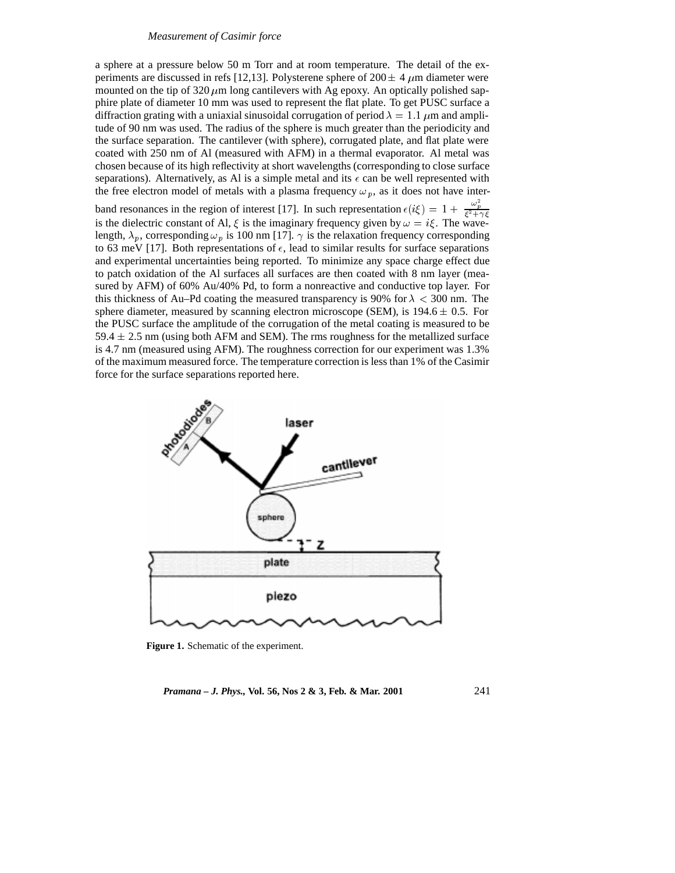#### *Measurement of Casimir force*

a sphere at a pressure below 50 m Torr and at room temperature. The detail of the experiments are discussed in refs [12,13]. Polysterene sphere of  $200 \pm 4 \ \mu m$  diameter were mounted on the tip of 320  $\mu$ m long cantilevers with Ag epoxy. An optically polished sapphire plate of diameter 10 mm was used to represent the flat plate. To get PUSC surface a diffraction grating with a uniaxial sinusoidal corrugation of period  $\lambda = 1.1 \mu$ m and amplitude of 90 nm was used. The radius of the sphere is much greater than the periodicity and the surface separation. The cantilever (with sphere), corrugated plate, and flat plate were coated with 250 nm of Al (measured with AFM) in a thermal evaporator. Al metal was chosen because of its high reflectivity at short wavelengths (corresponding to close surface separations). Alternatively, as Al is a simple metal and its  $\epsilon$  can be well represented with the free electron model of metals with a plasma frequency  $\omega_p$ , as it does not have interband resonances in the region of interest [17]. In such representation  $\epsilon(i\xi) = 1 + \frac{\omega_p^2}{\xi^2 + \gamma \xi}$ is the dielectric constant of Al,  $\xi$  is the imaginary frequency given by  $\omega = i\xi$ . The wavelength,  $\lambda_p$ , corresponding  $\omega_p$  is 100 nm [17].  $\gamma$  is the relaxation frequency corresponding to 63 meV [17]. Both representations of  $\epsilon$ , lead to similar results for surface separations and experimental uncertainties being reported. To minimize any space charge effect due to patch oxidation of the Al surfaces all surfaces are then coated with 8 nm layer (measured by AFM) of 60% Au/40% Pd, to form a nonreactive and conductive top layer. For this thickness of Au–Pd coating the measured transparency is 90% for  $\lambda$  < 300 nm. The sphere diameter, measured by scanning electron microscope (SEM), is  $194.6 \pm 0.5$ . For the PUSC surface the amplitude of the corrugation of the metal coating is measured to be  $59.4 \pm 2.5$  nm (using both AFM and SEM). The rms roughness for the metallized surface is 4.7 nm (measured using AFM). The roughness correction for our experiment was 1.3% of the maximum measured force. The temperature correction is less than 1% of the Casimir force for the surface separations reported here.



**Figure 1.** Schematic of the experiment.

*Pramana – J. Phys.,* **Vol. 56, Nos 2 & 3, Feb. & Mar. 2001** 241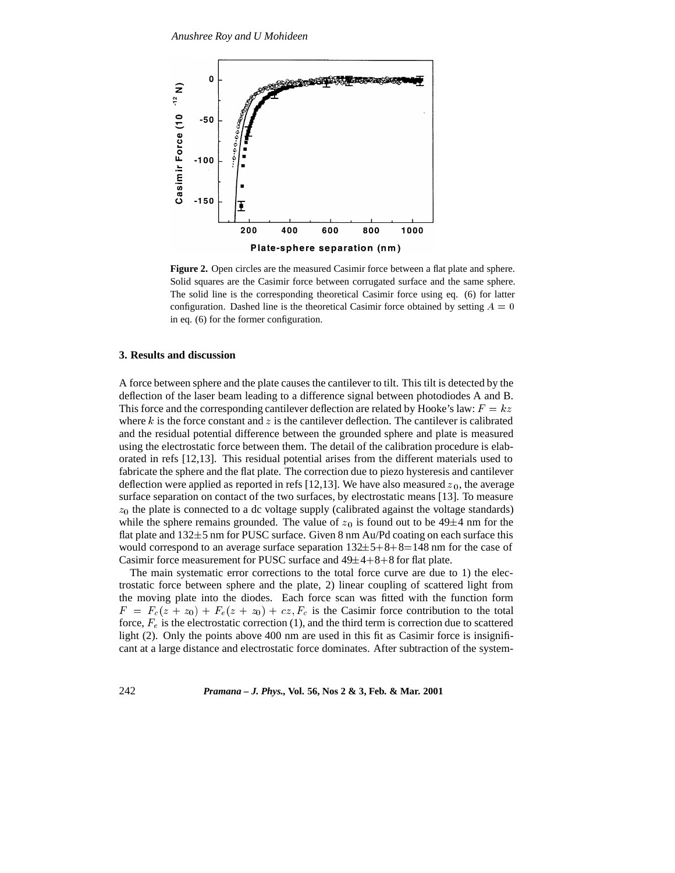

**Figure 2.** Open circles are the measured Casimir force between a flat plate and sphere. Solid squares are the Casimir force between corrugated surface and the same sphere. The solid line is the corresponding theoretical Casimir force using eq. (6) for latter configuration. Dashed line is the theoretical Casimir force obtained by setting  $A = 0$ in eq. (6) for the former configuration.

## **3. Results and discussion**

A force between sphere and the plate causes the cantilever to tilt. This tilt is detected by the deflection of the laser beam leading to a difference signal between photodiodes A and B. This force and the corresponding cantilever deflection are related by Hooke's law:  $F = kz$ where k is the force constant and z is the cantilever deflection. The cantilever is calibrated and the residual potential difference between the grounded sphere and plate is measured using the electrostatic force between them. The detail of the calibration procedure is elaborated in refs [12,13]. This residual potential arises from the different materials used to fabricate the sphere and the flat plate. The correction due to piezo hysteresis and cantilever deflection were applied as reported in refs [12,13]. We have also measured  $z_0$ , the average surface separation on contact of the two surfaces, by electrostatic means [13]. To measure  $z<sub>0</sub>$  the plate is connected to a dc voltage supply (calibrated against the voltage standards) while the sphere remains grounded. The value of  $z_0$  is found out to be 49 $\pm$ 4 nm for the flat plate and  $132 \pm 5$  nm for PUSC surface. Given 8 nm Au/Pd coating on each surface this would correspond to an average surface separation  $132\pm 5+8+8=148$  nm for the case of Casimir force measurement for PUSC surface and  $49\pm4+8+8$  for flat plate.

The main systematic error corrections to the total force curve are due to 1) the electrostatic force between sphere and the plate, 2) linear coupling of scattered light from the moving plate into the diodes. Each force scan was fitted with the function form  $F = F_c(z + z_0) + F_e(z + z_0) + cz$ ,  $F_c$  is the Casimir force contribution to the total force,  $F_e$  is the electrostatic correction (1), and the third term is correction due to scattered light (2). Only the points above 400 nm are used in this fit as Casimir force is insignificant at a large distance and electrostatic force dominates. After subtraction of the system-

242 *Pramana – J. Phys.,* **Vol. 56, Nos 2 & 3, Feb. & Mar. 2001**